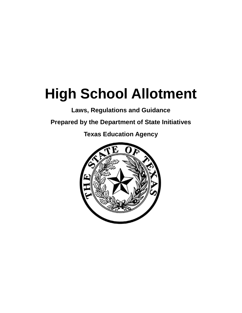# **High School Allotment**

**Laws, Regulations and Guidance**

**Prepared by the Department of State Initiatives**

**Texas Education Agency**

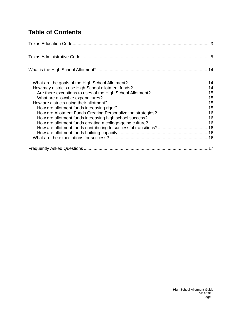# **Table of Contents**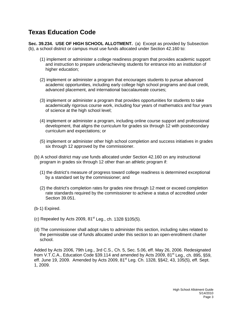# <span id="page-2-0"></span>**Texas Education Code**

**Sec. 39.234. USE OF HIGH SCHOOL ALLOTMENT.** (a) Except as provided by Subsection (b), a school district or campus must use funds allocated under Section 42.160 to:

- (1) implement or administer a college readiness program that provides academic support and instruction to prepare underachieving students for entrance into an institution of higher education;
- (2) implement or administer a program that encourages students to pursue advanced academic opportunities, including early college high school programs and dual credit, advanced placement, and international baccalaureate courses;
- (3) implement or administer a program that provides opportunities for students to take academically rigorous course work, including four years of mathematics and four years of science at the high school level;
- (4) implement or administer a program, including online course support and professional development, that aligns the curriculum for grades six through 12 with postsecondary curriculum and expectations; or
- (5) implement or administer other high school completion and success initiatives in grades six through 12 approved by the commissioner.
- (b) A school district may use funds allocated under Section 42.160 on any instructional program in grades six through 12 other than an athletic program if:
	- (1) the district's measure of progress toward college readiness is determined exceptional by a standard set by the commissioner; and
	- (2) the district's completion rates for grades nine through 12 meet or exceed completion rate standards required by the commissioner to achieve a status of accredited under Section 39.051.
- (b-1) Expired.
- (c) Repealed by Acts 2009,  $81^{st}$  Leg., ch. 1328 §105(5).
- (d) The commissioner shall adopt rules to administer this section, including rules related to the permissible use of funds allocated under this section to an open-enrollment charter school.

Added by Acts 2006, 79th Leg., 3rd C.S., Ch. 5, Sec. 5.06, eff. May 26, 2006. Redesignated from V.T.C.A., Education Code §39.114 and amended by Acts 2009,  $81<sup>st</sup>$  Leg., ch. 895, §59, eff. June 19, 2009. Amended by Acts 2009, 81<sup>st</sup> Leg. Ch. 1328, §§42, 43, 105(5), eff. Sept. 1, 2009.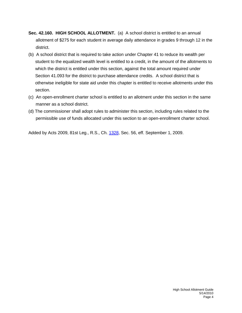- <span id="page-3-0"></span>**Sec. 42.160. HIGH SCHOOL ALLOTMENT.** (a) A school district is entitled to an annual allotment of \$275 for each student in average daily attendance in grades 9 through 12 in the district.
- (b) A school district that is required to take action under Chapter 41 to reduce its wealth per student to the equalized wealth level is entitled to a credit, in the amount of the allotments to which the district is entitled under this section, against the total amount required under Section 41.093 for the district to purchase attendance credits. A school district that is otherwise ineligible for state aid under this chapter is entitled to receive allotments under this section.
- (c) An open-enrollment charter school is entitled to an allotment under this section in the same manner as a school district.
- (d) The commissioner shall adopt rules to administer this section, including rules related to the permissible use of funds allocated under this section to an open-enrollment charter school.

Added by Acts 2009, 81st Leg., R.S., Ch. [1328,](http://www.legis.state.tx.us/tlodocs/81R/billtext/html/HB03646F.HTM) Sec. 56, eff. September 1, 2009.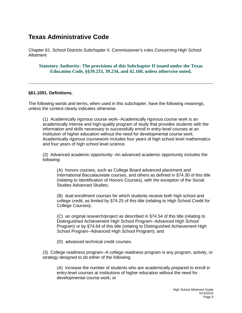## **Texas Administrative Code**

Chapter 61. School Districts Subchapter II. Commissioner's rules Concerning High School Allotment

**Statutory Authority: The provisions of this Subchapter II issued under the Texas Education Code, §§39.233, 39.234, and 42.160, unless otherwise noted.**

#### **§61.1091. Definitions.**

The following words and terms, when used in this subchapter, have the following meanings, unless the context clearly indicates otherwise.

(1) Academically rigorous course work--Academically rigorous course work is an academically intense and high-quality program of study that provides students with the information and skills necessary to successfully enroll in entry-level courses at an institution of higher education without the need for developmental course work. Academically rigorous coursework includes four years of high school level mathematics and four years of high school level science.

(2) Advanced academic opportunity--An advanced academic opportunity includes the following:

(A) honors courses, such as College Board advanced placement and International Baccalaureate courses, and others as defined in §74.30 of this title (relating to Identification of Honors Courses), with the exception of the Social Studies Advanced Studies;

(B) dual enrollment courses for which students receive both high school and college credit, as limited by §74.25 of this title (relating to High School Credit for College Courses);

(C) an original research/project as described in §74.54 of this title (relating to Distinguished Achievement High School Program--Advanced High School Program) or by §74.64 of this title (relating to Distinguished Achievement High School Program--Advanced High School Program); and

(D) advanced technical credit courses.

(3) College readiness program--A college readiness program is any program, activity, or strategy designed to do either of the following:

(A) increase the number of students who are academically prepared to enroll in entry-level courses at institutions of higher education without the need for developmental course work; or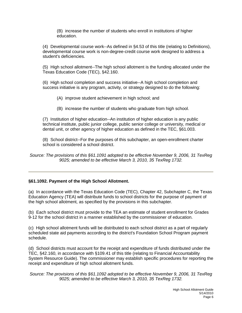(B) increase the number of students who enroll in institutions of higher education.

(4) Developmental course work--As defined in §4.53 of this title (relating to Definitions), developmental course work is non-degree-credit course work designed to address a student's deficiencies.

(5) High school allotment--The high school allotment is the funding allocated under the Texas Education Code (TEC), §42.160.

(6) High school completion and success initiative--A high school completion and success initiative is any program, activity, or strategy designed to do the following:

- (A) improve student achievement in high school; and
- (B) increase the number of students who graduate from high school.

(7) Institution of higher education--An institution of higher education is any public technical institute, public junior college, public senior college or university, medical or dental unit, or other agency of higher education as defined in the TEC, §61.003.

(8) School district--For the purposes of this subchapter, an open-enrollment charter school is considered a school district.

*Source: The provisions of this §61.1091 adopted to be effective November 9, 2006, 31 TexReg 9025; amended to be effective March 3, 2010, 35 TexReg 1732.*

#### **§61.1092. Payment of the High School Allotment.**

(a) In accordance with the Texas Education Code (TEC), Chapter 42, Subchapter C, the Texas Education Agency (TEA) will distribute funds to school districts for the purpose of payment of the high school allotment, as specified by the provisions in this subchapter.

(b) Each school district must provide to the TEA an estimate of student enrollment for Grades 9-12 for the school district in a manner established by the commissioner of education.

(c) High school allotment funds will be distributed to each school district as a part of regularly scheduled state aid payments according to the district's Foundation School Program payment schedule.

(d) School districts must account for the receipt and expenditure of funds distributed under the TEC, §42.160, in accordance with §109.41 of this title (relating to Financial Accountability System Resource Guide). The commissioner may establish specific procedures for reporting the receipt and expenditure of high school allotment funds.

*Source: The provisions of this §61.1092 adopted to be effective November 9, 2006, 31 TexReg 9025; amended to be effective March 3, 2010, 35 TexReg 1732.*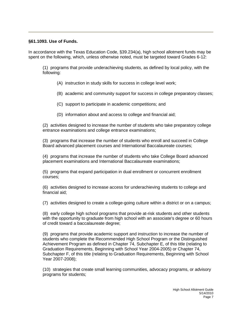#### **§61.1093. Use of Funds.**

In accordance with the Texas Education Code, §39.234(a), high school allotment funds may be spent on the following, which, unless otherwise noted, must be targeted toward Grades 6-12:

(1) programs that provide underachieving students, as defined by local policy, with the following:

(A) instruction in study skills for success in college level work;

(B) academic and community support for success in college preparatory classes;

- (C) support to participate in academic competitions; and
- (D) information about and access to college and financial aid;

(2) activities designed to increase the number of students who take preparatory college entrance examinations and college entrance examinations;

(3) programs that increase the number of students who enroll and succeed in College Board advanced placement courses and International Baccalaureate courses;

(4) programs that increase the number of students who take College Board advanced placement examinations and International Baccalaureate examinations;

(5) programs that expand participation in dual enrollment or concurrent enrollment courses;

(6) activities designed to increase access for underachieving students to college and financial aid;

(7) activities designed to create a college-going culture within a district or on a campus;

(8) early college high school programs that provide at-risk students and other students with the opportunity to graduate from high school with an associate's degree or 60 hours of credit toward a baccalaureate degree;

(9) programs that provide academic support and instruction to increase the number of students who complete the Recommended High School Program or the Distinguished Achievement Program as defined in Chapter 74, Subchapter E, of this title (relating to Graduation Requirements, Beginning with School Year 2004-2005) or Chapter 74, Subchapter F, of this title (relating to Graduation Requirements, Beginning with School Year 2007-2008);

(10) strategies that create small learning communities, advocacy programs, or advisory programs for students;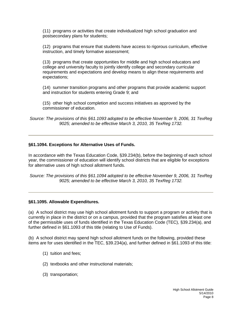(11) programs or activities that create individualized high school graduation and postsecondary plans for students;

(12) programs that ensure that students have access to rigorous curriculum, effective instruction, and timely formative assessment;

(13) programs that create opportunities for middle and high school educators and college and university faculty to jointly identify college and secondary curricular requirements and expectations and develop means to align these requirements and expectations;

(14) summer transition programs and other programs that provide academic support and instruction for students entering Grade 9; and

(15) other high school completion and success initiatives as approved by the commissioner of education.

*Source: The provisions of this §61.1093 adopted to be effective November 9, 2006, 31 TexReg 9025; amended to be effective March 3, 2010, 35 TexReg 1732.*

#### **§61.1094. Exceptions for Alternative Uses of Funds.**

In accordance with the Texas Education Code, §39.234(b), before the beginning of each school year, the commissioner of education will identify school districts that are eligible for exceptions for alternative uses of high school allotment funds.

*Source: The provisions of this §61.1094 adopted to be effective November 9, 2006, 31 TexReg 9025; amended to be effective March 3, 2010, 35 TexReg 1732.*

#### **§61.1095. Allowable Expenditures.**

(a) A school district may use high school allotment funds to support a program or activity that is currently in place in the district or on a campus, provided that the program satisfies at least one of the permissible uses of funds identified in the Texas Education Code (TEC), §39.234(a), and further defined in §61.1093 of this title (relating to Use of Funds).

(b) A school district may spend high school allotment funds on the following, provided these items are for uses identified in the TEC, §39.234(a), and further defined in §61.1093 of this title:

- (1) tuition and fees;
- (2) textbooks and other instructional materials;
- (3) transportation;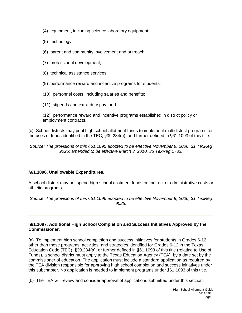- (4) equipment, including science laboratory equipment;
- (5) technology;
- (6) parent and community involvement and outreach;
- (7) professional development;
- (8) technical assistance services;
- (9) performance reward and incentive programs for students;
- (10) personnel costs, including salaries and benefits;
- (11) stipends and extra-duty pay; and

(12) performance reward and incentive programs established in district policy or employment contracts.

(c) School districts may pool high school allotment funds to implement multidistrict programs for the uses of funds identified in the TEC, §39.234(a), and further defined in §61.1093 of this title.

*Source: The provisions of this §61.1095 adopted to be effective November 9, 2006, 31 TexReg 9025; amended to be effective March 3, 2010, 35 TexReg 1732.*

#### **§61.1096. Unallowable Expenditures.**

A school district may not spend high school allotment funds on indirect or administrative costs or athletic programs.

*Source: The provisions of this §61.1096 adopted to be effective November 9, 2006, 31 TexReg 9025.*

#### **§61.1097. Additional High School Completion and Success Initiatives Approved by the Commissioner.**

(a) To implement high school completion and success initiatives for students in Grades 6-12 other than those programs, activities, and strategies identified for Grades 6-12 in the Texas Education Code (TEC), §39.234(a), or further defined in §61.1093 of this title (relating to Use of Funds), a school district must apply to the Texas Education Agency (TEA), by a date set by the commissioner of education. The application must include a standard application as required by the TEA division responsible for approving high school completion and success initiatives under this subchapter. No application is needed to implement programs under §61.1093 of this title.

(b) The TEA will review and consider approval of applications submitted under this section.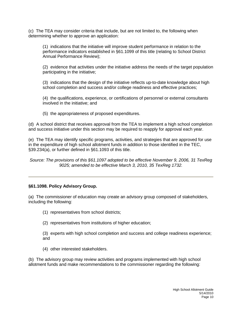(c) The TEA may consider criteria that include, but are not limited to, the following when determining whether to approve an application:

(1) indications that the initiative will improve student performance in relation to the performance indicators established in §61.1099 of this title (relating to School District Annual Performance Review);

(2) evidence that activities under the initiative address the needs of the target population participating in the initiative;

(3) indications that the design of the initiative reflects up-to-date knowledge about high school completion and success and/or college readiness and effective practices;

(4) the qualifications, experience, or certifications of personnel or external consultants involved in the initiative; and

(5) the appropriateness of proposed expenditures.

(d) A school district that receives approval from the TEA to implement a high school completion and success initiative under this section may be required to reapply for approval each year.

(e) The TEA may identify specific programs, activities, and strategies that are approved for use in the expenditure of high school allotment funds in addition to those identified in the TEC, §39.234(a), or further defined in §61.1093 of this title.

*Source: The provisions of this §61.1097 adopted to be effective November 9, 2006, 31 TexReg 9025; amended to be effective March 3, 2010, 35 TexReg 1732.*

#### **§61.1098. Policy Advisory Group.**

(a) The commissioner of education may create an advisory group composed of stakeholders, including the following:

- (1) representatives from school districts;
- (2) representatives from institutions of higher education;

(3) experts with high school completion and success and college readiness experience; and

(4) other interested stakeholders.

(b) The advisory group may review activities and programs implemented with high school allotment funds and make recommendations to the commissioner regarding the following: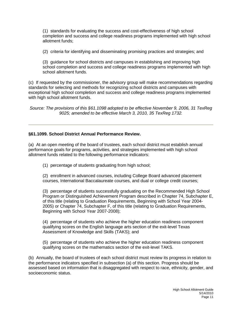(1) standards for evaluating the success and cost-effectiveness of high school completion and success and college readiness programs implemented with high school allotment funds;

(2) criteria for identifying and disseminating promising practices and strategies; and

(3) guidance for school districts and campuses in establishing and improving high school completion and success and college readiness programs implemented with high school allotment funds.

(c) If requested by the commissioner, the advisory group will make recommendations regarding standards for selecting and methods for recognizing school districts and campuses with exceptional high school completion and success and college readiness programs implemented with high school allotment funds.

*Source: The provisions of this §61.1098 adopted to be effective November 9, 2006, 31 TexReg 9025; amended to be effective March 3, 2010, 35 TexReg 1732.*

#### **§61.1099. School District Annual Performance Review.**

(a) At an open meeting of the board of trustees, each school district must establish annual performance goals for programs, activities, and strategies implemented with high school allotment funds related to the following performance indicators:

(1) percentage of students graduating from high school;

(2) enrollment in advanced courses, including College Board advanced placement courses, International Baccalaureate courses, and dual or college credit courses;

(3) percentage of students successfully graduating on the Recommended High School Program or Distinguished Achievement Program described in Chapter 74, Subchapter E, of this title (relating to Graduation Requirements, Beginning with School Year 2004- 2005) or Chapter 74, Subchapter F, of this title (relating to Graduation Requirements, Beginning with School Year 2007-2008);

(4) percentage of students who achieve the higher education readiness component qualifying scores on the English language arts section of the exit-level Texas Assessment of Knowledge and Skills (TAKS); and

(5) percentage of students who achieve the higher education readiness component qualifying scores on the mathematics section of the exit-level TAKS.

(b) Annually, the board of trustees of each school district must review its progress in relation to the performance indicators specified in subsection (a) of this section. Progress should be assessed based on information that is disaggregated with respect to race, ethnicity, gender, and socioeconomic status.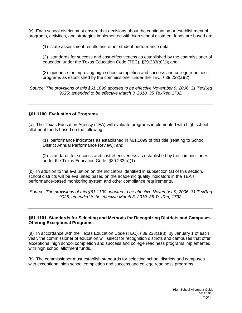(c) Each school district must ensure that decisions about the continuation or establishment of programs, activities, and strategies implemented with high school allotment funds are based on:

(1) state assessment results and other student performance data;

(2) standards for success and cost-effectiveness as established by the commissioner of education under the Texas Education Code (TEC), §39.233(a)(1); and

(3) guidance for improving high school completion and success and college readiness programs as established by the commissioner under the TEC, §39.233(a)(2).

*Source: The provisions of this §61.1099 adopted to be effective November 9, 2006, 31 TexReg 9025; amended to be effective March 3, 2010, 35 TexReg 1732.*

#### **§61.1100. Evaluation of Programs.**

(a) The Texas Education Agency (TEA) will evaluate programs implemented with high school allotment funds based on the following:

(1) performance indicators as established in §61.1099 of this title (relating to School District Annual Performance Review); and

(2) standards for success and cost-effectiveness as established by the commissioner under the Texas Education Code, §39.233(a)(1).

(b) In addition to the evaluation on the indicators identified in subsection (a) of this section, school districts will be evaluated based on the academic quality indicators in the TEA's performance-based monitoring system and other compliance requirements.

*Source: The provisions of this §61.1100 adopted to be effective November 9, 2006, 31 TexReg 9025; amended to be effective March 3, 2010, 35 TexReg 1732.*

#### **§61.1101. Standards for Selecting and Methods for Recognizing Districts and Campuses Offering Exceptional Programs.**

(a) In accordance with the Texas Education Code (TEC), §39.233(a)(3), by January 1 of each year, the commissioner of education will select for recognition districts and campuses that offer exceptional high school completion and success and college readiness programs implemented with high school allotment funds.

(b) The commissioner must establish standards for selecting school districts and campuses with exceptional high school completion and success and college readiness programs.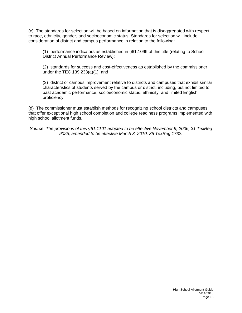(c) The standards for selection will be based on information that is disaggregated with respect to race, ethnicity, gender, and socioeconomic status. Standards for selection will include consideration of district and campus performance in relation to the following:

(1) performance indicators as established in §61.1099 of this title (relating to School District Annual Performance Review);

(2) standards for success and cost-effectiveness as established by the commissioner under the TEC §39.233(a)(1); and

(3) district or campus improvement relative to districts and campuses that exhibit similar characteristics of students served by the campus or district, including, but not limited to, past academic performance, socioeconomic status, ethnicity, and limited English proficiency.

(d) The commissioner must establish methods for recognizing school districts and campuses that offer exceptional high school completion and college readiness programs implemented with high school allotment funds.

*Source: The provisions of this §61.1101 adopted to be effective November 9, 2006, 31 TexReg 9025; amended to be effective March 3, 2010, 35 TexReg 1732.*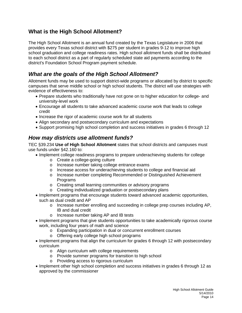## <span id="page-13-0"></span>**What is the High School Allotment?**

The High School Allotment is an annual fund created by the Texas Legislature in 2006 that provides every Texas school district with \$275 per student in grades 9-12 to improve high school graduation and college readiness rates. High school allotment funds shall be distributed to each school district as a part of regularly scheduled state aid payments according to the district's Foundation School Program payment schedule.

## <span id="page-13-1"></span>*What are the goals of the High School Allotment?*

Allotment funds may be used to support district-wide programs or allocated by district to specific campuses that serve middle school or high school students. The district will use strategies with evidence of effectiveness to:

- Prepare students who traditionally have not gone on to higher education for college- and university-level work
- Encourage all students to take advanced academic course work that leads to college credit
- Increase the rigor of academic course work for all students
- Align secondary and postsecondary curriculum and expectations
- Support promising high school completion and success initiatives in grades 6 through 12

## <span id="page-13-2"></span>*How may districts use allotment funds?*

TEC §39.234 **Use of High School Allotment** states that school districts and campuses must use funds under §42.160 to:

- Implement college readiness programs to prepare underachieving students for college
	- o Create a college-going culture
	- o Increase number taking college entrance exams
	- o Increase access for underachieving students to college and financial aid
	- o Increase number completing Recommended or Distinguished Achievement Programs
	- o Creating small learning communities or advisory programs
	- o Creating individualized graduation or postsecondary plans
- Implement programs that encourage students toward advanced academic opportunities, such as dual credit and AP
	- o Increase number enrolling and succeeding in college prep courses including AP, IB and dual credit
	- o Increase number taking AP and IB tests
- Implement programs that give students opportunities to take academically rigorous course work, including four years of math and science
	- o Expanding participation in dual or concurrent enrollment courses
	- o Offering early college high school programs
- Implement programs that align the curriculum for grades 6 through 12 with postsecondary curriculum
	- o Align curriculum with college requirements
	- o Provide summer programs for transition to high school
	- o Providing access to rigorous curriculum
- Implement other high school completion and success initiatives in grades 6 through 12 as approved by the commissioner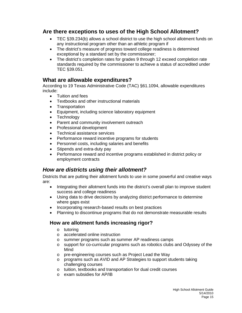## <span id="page-14-0"></span>**Are there exceptions to uses of the High School Allotment?**

- TEC §39.234(b) allows a school district to use the high school allotment funds on any instructional program other than an athletic program if
- The district's measure of progress toward college readiness is determined exceptional by a standard set by the commissioner;
- The district's completion rates for grades 9 through 12 exceed completion rate standards required by the commissioner to achieve a status of accredited under TEC §39.051.

## <span id="page-14-1"></span>**What are allowable expenditures?**

According to 19 Texas Administrative Code (TAC) §61.1094, allowable expenditures include:

- Tuition and fees
- Textbooks and other instructional materials
- Transportation
- Equipment, including science laboratory equipment
- Technology
- Parent and community involvement outreach
- Professional development
- Technical assistance services
- Performance reward incentive programs for students
- Personnel costs, including salaries and benefits
- Stipends and extra-duty pay
- Performance reward and incentive programs established in district policy or employment contracts

## <span id="page-14-2"></span>*How are districts using their allotment?*

Districts that are putting their allotment funds to use in some powerful and creative ways are:

- Integrating their allotment funds into the district's overall plan to improve student success and college readiness
- Using data to drive decisions by analyzing district performance to determine where gaps exist
- Incorporating research-based results on best practices
- <span id="page-14-3"></span>• Planning to discontinue programs that do not demonstrate measurable results

## **How are allotment funds increasing rigor?**

- o tutoring
- o accelerated online instruction
- o summer programs such as summer AP readiness camps<br>o support for co-curricular programs such as robotics clubs
- support for co-curricular programs such as robotics clubs and Odyssey of the Mind
- o pre-engineering courses such as Project Lead the Way
- o programs such as AVID and AP Strategies to support students taking challenging courses
- o tuition, textbooks and transportation for dual credit courses
- o exam subsidies for AP/IB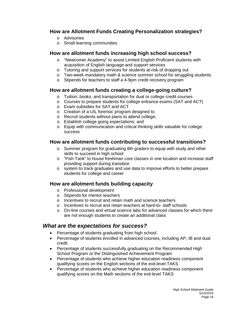## <span id="page-15-0"></span>**How are Allotment Funds Creating Personalization strategies?**

- o Advisories
- o Small learning communities

## <span id="page-15-1"></span>**How are allotment funds increasing high school success?**

- o "Newcomer Academy" to assist Limited English Proficient students with acquisition of English language and support services
- o Tutoring and support services for students at-risk of dropping out
- o Two-week mandatory math & science summer school for struggling students
- o Stipends for teachers to staff a 4-9pm credit recovery program

## <span id="page-15-2"></span>**How are allotment funds creating a college-going culture?**

- o Tuition, books, and transportation for dual or college credit courses
- o Courses to prepare students for college entrance exams (SAT and ACT)
- o Exam subsidies for SAT and ACT
- o Creation of a UIL forensic program designed to
- o Recruit students without plans to attend college;
- o Establish college going expectations; and
- o Equip with communication and critical thinking skills valuable for college success

## <span id="page-15-3"></span>**How are allotment funds contributing to successful transitions?**

- o Summer program for graduating 8th graders to equip with study and other skills to succeed in high school
- o "Fish Tank" to house freshman core classes in one location and increase staff providing support during transition
- o system to track graduates and use data to improve efforts to better prepare students for college and career

## <span id="page-15-4"></span>**How are allotment funds building capacity**

- o Professional development
- o Stipends for mentor teachers
- o Incentives to recruit and retain math and science teachers
- o Incentives to recruit and retain teachers at hard-to- staff schools
- o On-line courses and virtual science labs for advanced classes for which there are not enough students to create an additional class

## <span id="page-15-5"></span>*What are the expectations for success?*

- Percentage of students graduating from high school
- Percentage of students enrolled in advanced courses, including AP, IB and dual credit
- Percentage of students successfully graduating on the Recommended High School Program or the Distinguished Achievement Program
- Percentage of students who achieve higher education readiness component qualifying scores on the English sections of the exit-level TAKS
- Percentage of students who achieve higher education readiness component qualifying scores on the Math sections of the exit-level TAKS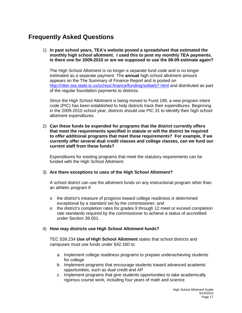# <span id="page-16-0"></span>**Frequently Asked Questions**

1) **In past school years, TEA's website posted a spreadsheet that estimated the monthly high school allotment. I used this to post my monthly TEA payments. Is there one for 2009-2010 or are we supposed to use the 08-09 estimate again?** 

The High School Allotment is no longer a separate fund code and is no longer estimated as a separate payment. The **annual** high school allotment amount appears on the The Summary of Finance Report and is posted on <http://ritter.tea.state.tx.us/school.finance/funding/sofweb7.html> and distributed as part of the regular foundation payments to districts.

Since the High School Allotment is being moved to Fund 199, a new program intent code (PIC) has been established to help districts track their expenditures. Beginning in the 2009-2010 school year, districts should use PIC 31 to identify their high school allotment expenditures.

2) **Can these funds be expended for programs that the district currently offers that meet the requirements specified in statute or will the district be required to offer additional programs that meet these requirements? For example, if we currently offer several dual credit classes and college classes, can we fund our current staff from these funds?**

Expenditures for existing programs that meet the statutory requirements can be funded with the High School Allotment.

#### 3) **Are there exceptions to uses of the High School Allotment?**

A school district can use the allotment funds on any instructional program other than an athletic program if:

- $\circ$  the district's measure of progress toward college readiness is determined exceptional by a standard set by the commissioner; and
- $\circ$  the district's completion rates for grades 9 through 12 meet or exceed completion rate standards required by the commissioner to achieve a status of accredited under Section 39.051.

#### 4) **How may districts use High School Allotment funds?**

TEC §39.234 **Use of High School Allotment** states that school districts and campuses must use funds under §42.160 to:

- a. Implement college readiness programs to prepare underachieving students for college
- b. Implement programs that encourage students toward advanced academic opportunities, such as dual credit and AP
- c. Implement programs that give students opportunities to take academically rigorous course work, including four years of math and science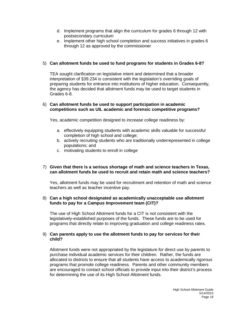- d. Implement programs that align the curriculum for grades 6 through 12 with postsecondary curriculum
- e. Implement other high school completion and success initiatives in grades 6 through 12 as approved by the commissioner

#### 5) **Can allotment funds be used to fund programs for students in Grades 6-8?**

TEA sought clarification on legislative intent and determined that a broader interpretation of §39.234 is consistent with the legislation's overriding goals of preparing students for entrance into institutions of higher education. Consequently, the agency has decided that allotment funds may be used to target students in Grades 6-8.

#### 6) **Can allotment funds be used to support participation in academic competitions such as UIL academic and forensic competitive programs?**

Yes, academic competition designed to increase college readiness by:

- a. effectively equipping students with academic skills valuable for successful completion of high school and college;
- b. actively recruiting students who are traditionally underrepresented in college populations; and
- c. motivating students to enroll in college

#### 7) **Given that there is a serious shortage of math and science teachers in Texas, can allotment funds be used to recruit and retain math and science teachers?**

Yes, allotment funds may be used for recruitment and retention of math and science teachers as well as teacher incentive pay.

#### 8) **Can a high school designated as academically unacceptable use allotment funds to pay for a Campus Improvement team (CIT)?**

The use of High School Allotment funds for a CIT is not consistent with the legislatively-established purposes of the funds. These funds are to be used for programs that directly relate to improving graduation and college readiness rates.

#### 9) **Can parents apply to use the allotment funds to pay for services for their child?**

Allotment funds were not appropriated by the legislature for direct use by parents to purchase individual academic services for their children. Rather, the funds are allocated to districts to ensure that all students have access to academically rigorous programs that promote college readiness. Parents and other community members are encouraged to contact school officials to provide input into their district's process for determining the use of its High School Allotment funds.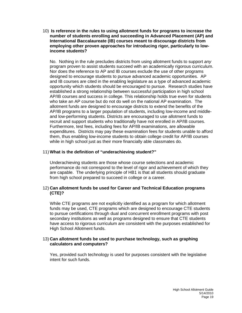10) **Is reference in the rules to using allotment funds for programs to increase the number of students enrolling and succeeding in Advanced Placement (AP) and International Baccalaureate (IB) courses meant to discourage districts from employing other proven approaches for introducing rigor, particularly to lowincome students?**

No. Nothing in the rule precludes districts from using allotment funds to support *any* program proven to assist students succeed with an academically rigorous curriculum. Nor does the reference to AP and IB courses exclude the use of other programs designed to encourage students to pursue advanced academic opportunities. AP and IB courses are cited in the enabling legislature as a type of advanced academic opportunity which students should be encouraged to pursue. Research studies have established a strong relationship between successful participation in high school AP/IB courses and success in college. This relationship holds true even for students who take an AP course but do not do well on the national AP examination. The allotment funds are designed to encourage districts to extend the benefits of the AP/IB programs to a larger population of students, including low-income and middleand low-performing students. Districts are encouraged to use allotment funds to recruit and support students who traditionally have not enrolled in AP/IB courses. Furthermore, test fees, including fees for AP/IB examinations, are allowable expenditures. Districts may pay these examination fees for students unable to afford them, thus enabling low-income students to obtain college credit for AP/IB courses while in high school just as their more financially able classmates do.

#### 11) **What is the definition of "underachieving student?"**

Underachieving students are those whose course selections and academic performance do not correspond to the level of rigor and achievement of which they are capable. The underlying principle of HB1 is that all students should graduate from high school prepared to succeed in college or a career.

#### 12) **Can allotment funds be used for Career and Technical Education programs (CTE)?**

While CTE programs are not explicitly identified as a program for which allotment funds may be used, CTE programs which are designed to encourage CTE students to pursue certifications through dual and concurrent enrollment programs with post secondary institutions as well as programs designed to ensure that CTE students have access to rigorous curriculum are consistent with the purposes established for High School Allotment funds.

#### 13) **Can allotment funds be used to purchase technology, such as graphing calculators and computers?**

Yes, provided such technology is used for purposes consistent with the legislative intent for such funds.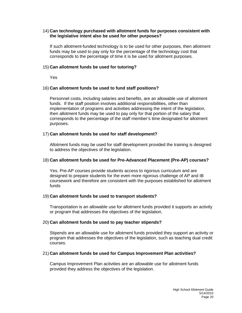#### 14) **Can technology purchased with allotment funds for purposes consistent with the legislative intent also be used for other purposes?**

If such allotment-funded technology is to be used for other purposes, then allotment funds may be used to pay only for the percentage of the technology cost that corresponds to the percentage of time it is be used for allotment purposes.

#### 15) **Can allotment funds be used for tutoring?**

Yes

#### 16) **Can allotment funds be used to fund staff positions?**

Personnel costs, including salaries and benefits, are an allowable use of allotment funds. If the staff position involves additional responsibilities, other than implementation of programs and activities addressing the intent of the legislation, then allotment funds may be used to pay only for that portion of the salary that corresponds to the percentage of the staff member's time designated for allotment purposes.

#### 17) **Can allotment funds be used for staff development?**

Allotment funds may be used for staff development provided the training is designed to address the objectives of the legislation.

#### 18) **Can allotment funds be used for Pre-Advanced Placement (Pre-AP) courses?**

Yes. Pre-AP courses provide students access to rigorous curriculum and are designed to prepare students for the even more rigorous challenge of AP and IB coursework and therefore are consistent with the purposes established for allotment funds

#### 19) **Can allotment funds be used to transport students?**

Transportation is an allowable use for allotment funds provided it supports an activity or program that addresses the objectives of the legislation.

#### 20) **Can allotment funds be used to pay teacher stipends?**

Stipends are an allowable use for allotment funds provided they support an activity or program that addresses the objectives of the legislation, such as teaching dual credit courses.

#### 21) **Can allotment funds be used for Campus Improvement Plan activities?**

Campus Improvement Plan activities are an allowable use for allotment funds provided they address the objectives of the legislation.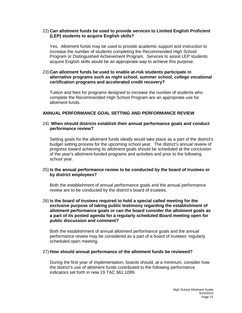#### 22) **Can allotment funds be used to provide services to Limited English Proficient (LEP) students to acquire English skills?**

Yes. Allotment funds may be used to provide academic support and instruction to increase the number of students completing the Recommended High School Program or Distinguished Achievement Program. Services to assist LEP students acquire English skills would be an appropriate way to achieve this purpose.

#### 23) **Can allotment funds be used to enable at-risk students participate in alternative programs such as night school, summer school, college vocational certification programs and accelerated credit recovery?**

Tuition and fees for programs designed to increase the number of students who complete the Recommended High School Program are an appropriate use for allotment funds.

#### **ANNUAL PERFORMANCE GOAL SETTING AND PERFORMANCE REVIEW**

#### 24) **When should districts establish their annual performance goals and conduct performance review?**

Setting goals for the allotment funds ideally would take place as a part of the district's budget setting process for the upcoming school year. The district's annual review of progress toward achieving its allotment goals should be scheduled at the conclusion of the year's allotment-funded programs and activities and prior to the following school year.

#### 25) **Is the annual performance review to be conducted by the board of trustees or by district employees?**

Both the establishment of annual performance goals and the annual performance review are to be conducted by the district's board of trustees.

#### 26) **Is the board of trustees required to hold a special called meeting for the exclusive purpose of taking public testimony regarding the establishment of allotment performance goals or can the board consider the allotment goals as a part of its posted agenda for a regularly scheduled Board meeting open for public discussion and comment?**

Both the establishment of annual allotment performance goals and the annual performance review may be considered as a part of a board of trustees' regularly scheduled open meeting.

#### 27) **How should annual performance of the allotment funds be reviewed?**

During the first year of implementation, boards should, at a minimum, consider how the district's use of allotment funds contributed to the following performance indicators set forth in new 19 TAC §61.1099.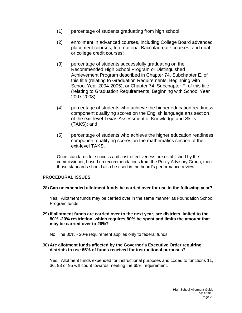- (1) percentage of students graduating from high school;
- (2) enrollment in advanced courses, including College Board advanced placement courses, International Baccalaureate courses, and dual or college credit courses;
- (3) percentage of students successfully graduating on the Recommended High School Program or Distinguished Achievement Program described in Chapter 74, Subchapter E, of this title (relating to Graduation Requirements, Beginning with School Year 2004-2005), or Chapter 74, Subchapter F, of this title (relating to Graduation Requirements, Beginning with School Year 2007-2008);
- (4) percentage of students who achieve the higher education readiness component qualifying scores on the English language arts section of the exit-level Texas Assessment of Knowledge and Skills (TAKS); and
- (5) percentage of students who achieve the higher education readiness component qualifying scores on the mathematics section of the exit-level TAKS.

Once standards for success and cost-effectiveness are established by the commissioner, based on recommendations from the Policy Advisory Group, then those standards should also be used in the board's performance review.

#### **PROCEDURAL ISSUES**

28) **Can unexpended allotment funds be carried over for use in the following year?**

Yes. Allotment funds may be carried over in the same manner as Foundation School Program funds.

29) **If allotment funds are carried over to the next year, are districts limited to the 80% -20% restriction, which requires 80% be spent and limits the amount that may be carried over to 20%?**

No. The 80% - 20% requirement applies only to federal funds.

#### 30) **Are allotment funds affected by the Governor's Executive Order requiring districts to use 65% of funds received for instructional purposes?**

Yes. Allotment funds expended for instructional purposes and coded to functions 11, 36, 93 or 95 will count towards meeting the 65% requirement.